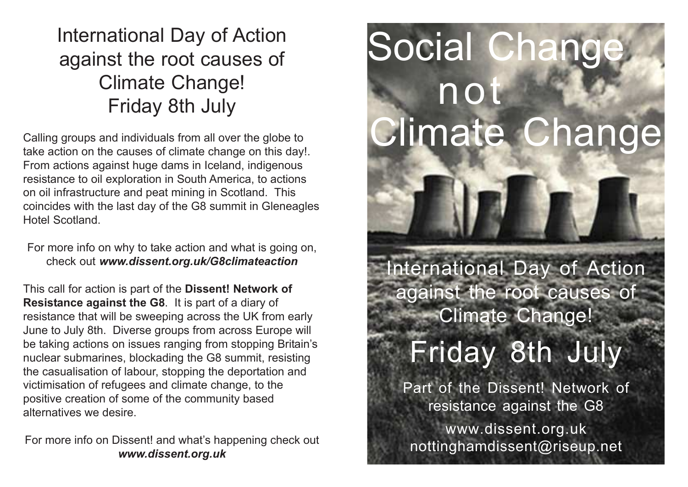### International Day of Action against the root causes of Climate Change! Friday 8th July

Calling groups and individuals from all over the globe to take action on the causes of climate change on this day!. From actions against huge dams in Iceland, indigenous resistance to oil exploration in South America, to actions on oil infrastructure and peat mining in Scotland. This coincides with the last day of the G8 summit in Gleneagles Hotel Scotland.

For more info on why to take action and what is going on, check out www.dissent.org.uk/G8climateaction

This call for action is part of the Dissent! Network of Resistance against the G8. It is part of a diary of resistance that will be sweeping across the UK from early June to July 8th. Diverse groups from across Europe will be taking actions on issues ranging from stopping Britain' s nuclear submarines, blockading the G8 summit, resisting the casualisation of labour, stopping the deportation and victimisation of refugees and climate change, to the positive creation of some of the community based alternatives we desire.

For more info on Dissent! and what's happening check out www.dissent.org.uk

# Social Change not Climate Change

International Day of Action against the root causes of Climate Change!

## Friday 8th July

Part of the Dissent! Network of resistance against the G8

www.dissent.org.uk nottinghamdissent@riseup.net